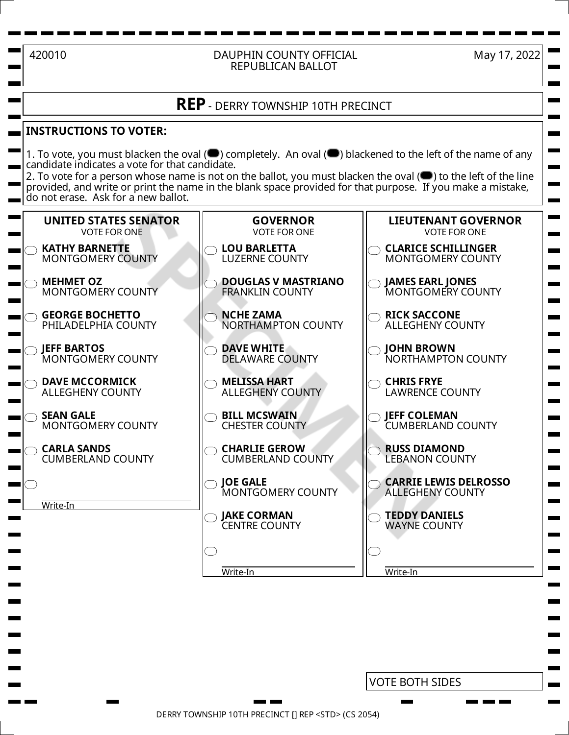## 420010 DAUPHIN COUNTY OFFICIAL REPUBLICAN BALLOT

## **REP**- DERRY TOWNSHIP 10TH PRECINCT

## **INSTRUCTIONS TO VOTER:**

1. To vote, you must blacken the oval ( $\blacksquare$ ) completely. An oval ( $\blacksquare$ ) blackened to the left of the name of any candidate indicates a vote for that candidate.

2. To vote for a person whose name is not on the ballot, you must blacken the oval ( $\blacksquare$ ) to the left of the line provided, and write or print the name in the blank space provided for that purpose. If you make a mistake, do not erase. Ask for a new ballot.



VOTE BOTH SIDES